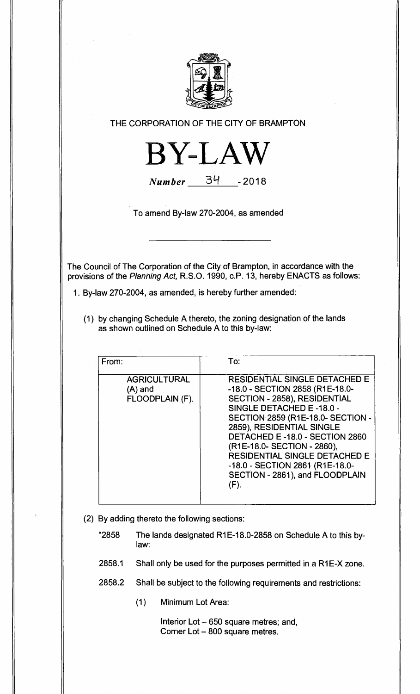

**THE CORPORATION OF THE CITY OF BRAMPTON** 



**Number** 34 **- 2018** 

**To amend By-law 270-2004, as amended** 

**The Council of The Corporation of the City of Brampton, in accordance with the provisions of the Planning Act, R.S.O. 1990, c.P. 13, hereby ENACTS as follows:** 

**1. By-law 270-2004, as amended, is hereby further amended:** 

**(1) by changing Schedule A thereto, the zoning designation of the lands as shown outlined on Schedule A to this by-law:** 

| From:                                             | To:                                                                                                                                                                                                                                                                                                                                                                                                    |
|---------------------------------------------------|--------------------------------------------------------------------------------------------------------------------------------------------------------------------------------------------------------------------------------------------------------------------------------------------------------------------------------------------------------------------------------------------------------|
| <b>AGRICULTURAL</b><br>(A) and<br>FLOODPLAIN (F). | <b>RESIDENTIAL SINGLE DETACHED E</b><br>-18.0 - SECTION 2858 (R1E-18.0-<br>SECTION - 2858), RESIDENTIAL<br>SINGLE DETACHED E-18.0 -<br><b>SECTION 2859 (R1E-18.0- SECTION -</b><br>2859), RESIDENTIAL SINGLE<br>DETACHED E-18.0 - SECTION 2860<br>(R1E-18.0- SECTION - 2860),<br><b>RESIDENTIAL SINGLE DETACHED E</b><br>-18.0 - SECTION 2861 (R1E-18.0-<br>SECTION - 2861), and FLOODPLAIN<br>$(F)$ . |

- **(2) By adding thereto the following sections:** 
	- **"2858 The lands designated R1E-18.0-2858 on Schedule A to this bylaw:**
	- **2858.1 Shall only be used for the purposes permitted in a R1E-X zone.**
	- **2858.2 Shall be subject to the following requirements and restrictions:** 
		- **(1) Minimum Lot Area:**

**Interior Lot — 650 square metres; and, Corner Lot — 800 square metres.**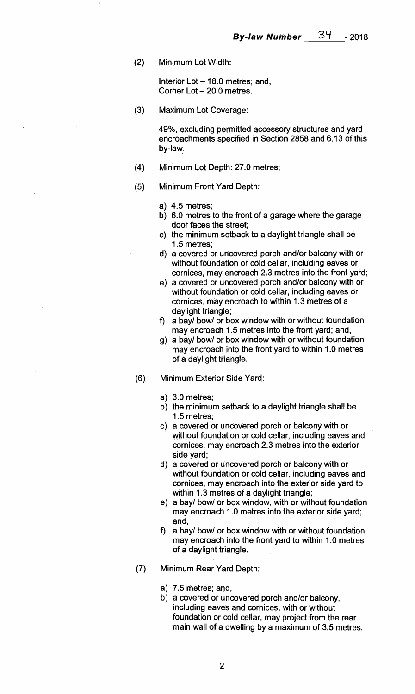**(2) Minimum Lot Width:** 

**Interior Lot — 18.0 metres; and, Corner Lot — 20.0 metres.** 

**(3) Maximum Lot Coverage:** 

**49%, excluding permitted accessory structures and yard encroachments specified in Section 2858 and 6.13 of this by-law.** 

- **(4) Minimum Lot Depth: 27.0 metres;**
- **(5) Minimum Front Yard Depth:** 
	- **a) 4.5 metres;**
	- **b) 6.0 metres to the front of a garage where the garage door faces the street;**
	- **c) the minimum setback to a daylight triangle shall be 1.5 metres;**
	- **d) a covered or uncovered porch and/or balcony with or without foundation or cold cellar, including eaves or cornices, may encroach 2.3 metres into the front yard;**
	- **e) a covered or uncovered porch and/or balcony with or without foundation or cold cellar, including eaves or cornices, may encroach to within 1.3 metres of a daylight triangle;**
	- **f) a bay/ bow/ or box window with or without foundation may encroach 1.5 metres into the front yard; and,**
	- **g) a bay/ bow/ or box window with or without foundation may encroach into the front yard to within 1.0 metres of a daylight triangle.**
- **(6) Minimum Exterior Side Yard:** 
	- **a) 3.0 metres;**
	- **b) the minimum setback to a daylight triangle shall be 1.5 metres;**
	- **c) a covered or uncovered porch or balcony with or without foundation or cold cellar, including eaves and cornices, may encroach 2.3 metres into the exterior side yard;**
	- **d) a covered or uncovered porch or balcony with or without foundation or cold cellar, including eaves and cornices, may encroach into the exterior side yard to within 1.3 metres of a daylight triangle;**
	- **e) a bay/ bow/ or box window, with or without foundation may encroach 1.0 metres into the exterior side yard; and,**
	- **f) a bay/ bow/ or box window with or without foundation may encroach into the front yard to within 1.0 metres of a daylight triangle.**
- **(7) Minimum Rear Yard Depth:** 
	- **a) 7.5 metres; and,**
	- **b) a covered or uncovered porch and/or balcony, including eaves and cornices, with or without foundation or cold cellar, may project from the rear main wall of a dwelling by a maximum of 3.5 metres.**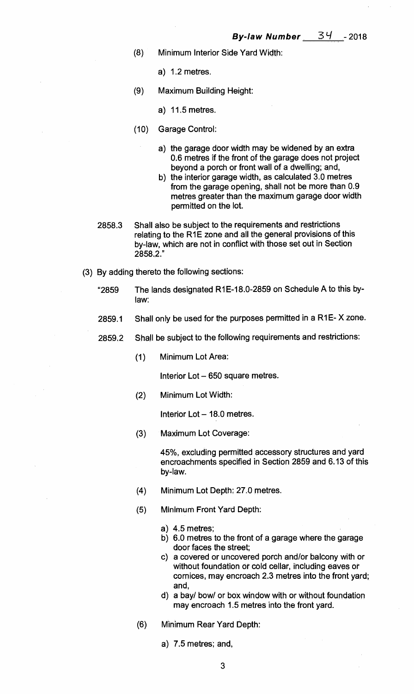- **(8) Minimum Interior Side Yard Width:** 
	- **a) 1.2 metres.**
- **(9) Maximum Building Height:** 
	- **a) 11.5 metres.**
- **(10) Garage Control:** 
	- **a) the garage door width may be widened by an extra 0.6 metres if the front of the garage does not project beyond a porch or front wall of a dwelling; and,**
	- **b) the interior garage width, as calculated 3.0 metres from the garage opening, shall not be more than 0.9 metres greater than the maximum garage door width permitted on the lot.**
- **2858.3 Shall also be subject to the requirements and restrictions relating to the R1E zone and all the general provisions of this by-law, which are not in conflict with those set out in Section 2858.2."**
- **By adding thereto the following sections:** 
	- **"2859 The lands designated R1E-18.0-2859 on Schedule A to this bylaw:**
	- **2859.1 Shall only be used for the purposes permitted in a R1E- X zone.**
	- **2859.2 Shall be subject to the following requirements and restrictions:** 
		- **(1) Minimum Lot Area:**

**Interior Lot — 650 square metres.** 

**(2) Minimum Lot Width:** 

**Interior Lot — 18.0 metres.** 

**(3) Maximum Lot Coverage:** 

**45%, excluding permitted accessory structures and yard encroachments specified in Section 2859 and 6.13 of this by-law.** 

- **(4) Minimum Lot Depth: 27.0 metres.**
- (5) **Minimum Front Yard Depth:** 
	- **a) 4.5 metres;**
	- **b) 6.0 metres to the front of a garage where the garage door faces the street;**
	- **c) a covered or uncovered porch and/or balcony with or without foundation or cold cellar, including eaves or cornices, may encroach 2.3 metres into the front yard; and,**
	- **d) a bay/ bow/ or box window with or without foundation may encroach 1.5 metres into the front yard.**
- **(6) Minimum Rear Yard Depth:** 
	- **a) 7.5 metres; and,**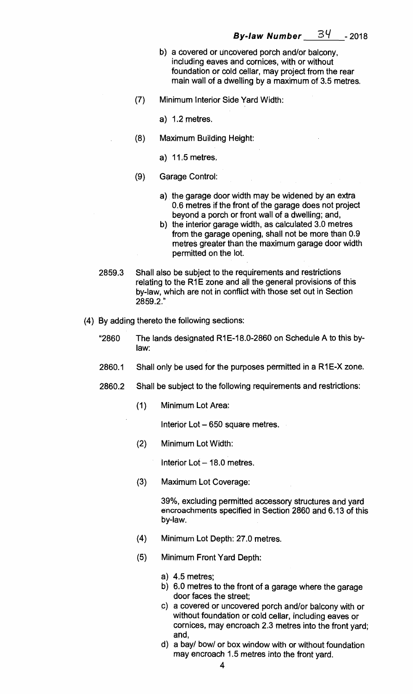- **b) a covered or uncovered porch and/or balcony, including eaves and cornices, with or without foundation or cold cellar, may project from the rear main wall of a dwelling by a maximum of 3.5 metres.**
- **(7) Minimum Interior Side Yard Width:** 
	- **a) 1.2 metres.**
- **(8) Maximum Building Height:** 
	- **a) 11.5 metres.**
- **(9) Garage Control:** 
	- **a) the garage door width may be widened by an extra 0.6 metres if the front of the garage does not project beyond a porch or front wall of a dwelling; and,**
	- **b) the interior garage width, as calculated 3.0 metres from the garage opening, shall not be more than 0.9 metres greater than the maximum garage door width permitted on the lot.**
- **2859.3 Shall also be subject to the requirements and restrictions relating to the R1E zone and all the general provisions of this by-law, which are not in conflict with those set out in Section 2859.2."**
- **(4) By adding thereto the following sections:** 
	- **"2860 The lands designated R1E-18.0-2860 on Schedule A to this bylaw:**
	- 2860.1 Shall only be used for the purposes permitted in a R1E-X zone.
	- **2860.2 Shall be subject to the following requirements and restrictions:** 
		- **(1) Minimum Lot Area:**

**Interior Lot — 650 square metres.** 

**(2) Minimum Lot Width:** 

**Interior Lot — 18.0 metres.** 

**(3) Maximum Lot Coverage:** 

**39%, excluding permitted accessory structures and yard encroachments specified in Section 2860 and 6.13 of this by-law.** 

- **(4) Minimum Lot Depth: 27.0 metres.**
- **(5) Minimum Front Yard Depth:** 
	- **a) 4.5 metres;**
	- **b) 6.0 metres to the front of a garage where the garage door faces the street;**
	- **c) a covered or uncovered porch and/or balcony with or without foundation or cold cellar, including eaves or cornices, may encroach 2.3 metres into the front yard; and,**
	- **d) a bay/ bow/ or box window with or without foundation may encroach 1.5 metres into the front yard.**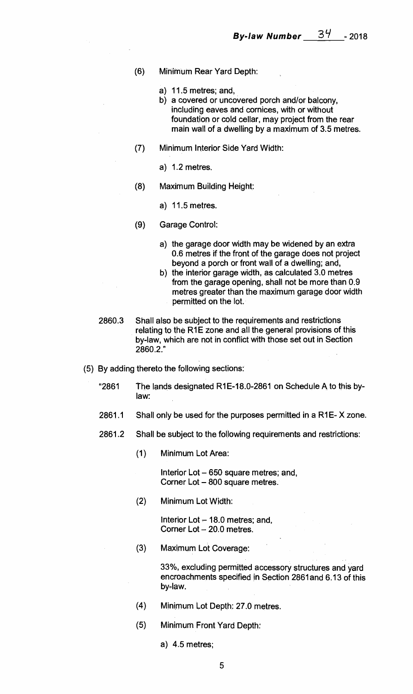- **(6) Minimum Rear Yard Depth:** 
	- **a) 11.5 metres; and,**
	- **b) a covered or uncovered porch and/or balcony, including eaves and cornices, with or without foundation or cold cellar, may project from the rear main wall of a dwelling by a maximum of 3.5 metres.**
- **(7) Minimum Interior Side Yard Width:** 
	- **a) 1.2 metres.**
- **(8) Maximum Building Height:** 
	- **a) 11.5 metres.**
- **(9) Garage Control:** 
	- **a) the garage door width may be widened by an extra 0.6 metres if the front of the garage does not project beyond a porch or front wall of a dwelling; and,**
	- **b) the interior garage width, as calculated 3.0 metres from the garage opening, shall not be more than 0.9 metres greater than the maximum garage door width permitted on the lot.**
- **2860.3 Shall also be subject to the requirements and restrictions relating to the R1E zone and all the general provisions of this by-law, which are not in conflict with those set out in Section 2860.2."**
- **(5) By adding thereto the following sections:** 
	- **"2861 The lands designated R1E-18.0-2861 on Schedule A to this bylaw:**
	- **2861.1 Shall only be used for the purposes permitted in a R1E- X zone.**
	- **2861.2 Shall be subject to the following requirements and restrictions:** 
		- **(1) Minimum Lot Area:**

**Interior Lot — 650 square metres; and, Corner Lot — 800 square metres.** 

**(2) Minimum Lot Width:** 

**Interior Lot — 18.0 metres; and, Corner Lot — 20.0 metres.** 

**(3) Maximum Lot Coverage:** 

**33%, excluding permitted accessory structures and yard encroachments specified in Section 2861and 6.13 of this by-law.** 

- **(4) Minimum Lot Depth: 27.0 metres.**
- **(5) Minimum Front Yard Depth:** 
	- **a) 4.5 metres;**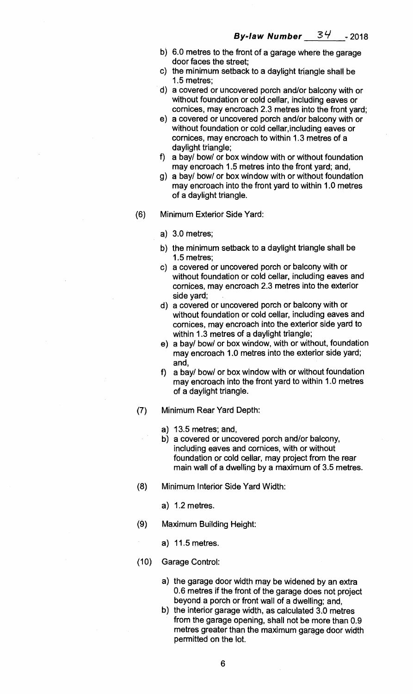- **b) 6.0 metres to the front of a garage where the garage door faces the street;**
- **c) the minimum setback to a daylight triangle shall be 1.5 metres;**
- **d) a covered or uncovered porch and/or balcony with or without foundation or cold cellar, including eaves or cornices, may encroach 2.3 metres into the front yard;**
- **e) a covered or uncovered porch and/or balcony with or without foundation or cold cellar,including eaves or cornices, may encroach to within 1.3 metres of a daylight triangle;**
- **f) a bay/ bow/ or box window with or without foundation may encroach 1.5 metres into the front yard; and,**
- **g) a bay/ bow/ or box window with or without foundation may encroach into the front yard to within 1.0 metres of a daylight triangle.**
- **(6) Minimum Exterior Side Yard:** 
	- **a) 3.0 metres;**
	- **b) the minimum setback to a daylight triangle shall be 1.5 metres;**
	- **c) a covered or uncovered porch or balcony with or without foundation or cold cellar, including eaves and cornices, may encroach 2.3 metres into the exterior side yard;**
	- **d) a covered or uncovered porch or balcony with or without foundation or cold cellar, including eaves and cornices, may encroach into the exterior side yard to within 1.3 metres of a daylight triangle;**
	- **e) a bay/ bow/ or box window, with or without, foundation may encroach 1.0 metres into the exterior side yard; and,**
	- **f) a bay/ bow/ or box window with or without foundation may encroach into the front yard to within 1.0 metres of a daylight triangle.**
- **(7) Minimum Rear Yard Depth:** 
	- **a) 13.5 metres; and,**
	- **b) a covered or uncovered porch and/or balcony, including eaves and cornices, with or without foundation or cold cellar, may project from the rear main wall of a dwelling by a maximum of 3.5 metres.**
- **(8) Minimum Interior Side Yard Width:** 
	- **a) 1.2 metres.**
- **(9) Maximum Building Height:** 
	- **a) 11.5 metres.**
- **(10) Garage Control:** 
	- **a) the garage door width may be widened by an extra 0.6 metres if the front of the garage does not project beyond .a porch or front wall of a dwelling; and,**
	- **b) the interior garage width, as calculated 3.0 metres from the garage opening, shall not be more than 0.9 metres greater than the maximum garage door width permitted on the lot.**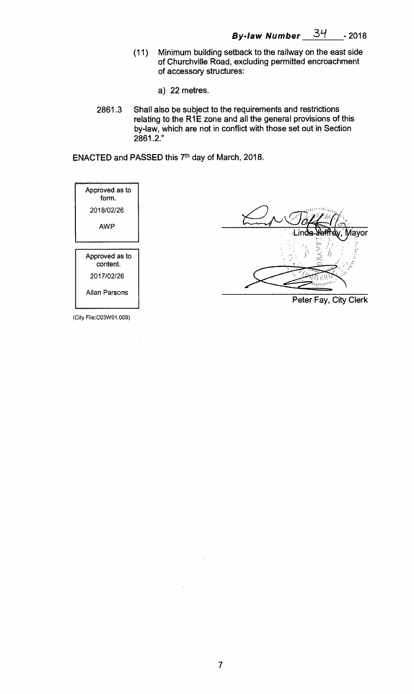**(11) Minimum building setback to the railway on the east side of Churchville Road, excluding permitted encroachment of accessory structures:** 

 $\bar{\mathcal{A}}$ 

- **a) 22 metres.**
- **2861.3 Shall also be subject to the requirements and restrictions relating to the R1E zone and all the general provisions of this by-law, which are not in conflict with those set out in Section 2861.2."**

ENACTED and PASSED this 7<sup>th</sup> day of March, 2018.

| Approved as to<br>form.    |                                                        |
|----------------------------|--------------------------------------------------------|
| 2018/02/26                 | awwitna                                                |
| <b>AWP</b>                 | Mayor<br>∍Linda- <del>Xeffr</del> ely,<br>عدنا<br>انتخ |
| Approved as to<br>content. |                                                        |
| 2017/02/26                 |                                                        |
| <b>Allan Parsons</b>       | Peter Fay, City Clerk                                  |

**7** 

(City File:CO3W01.009)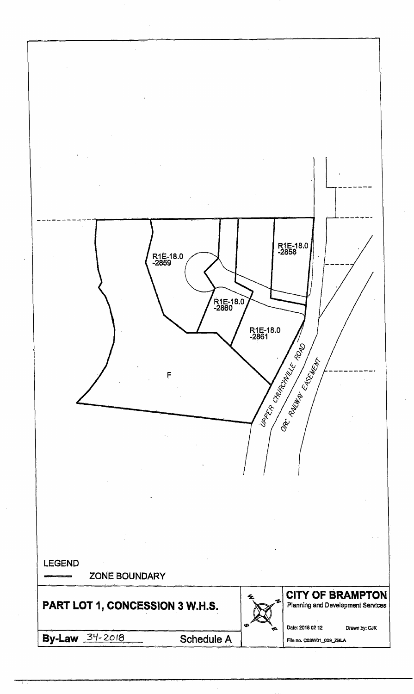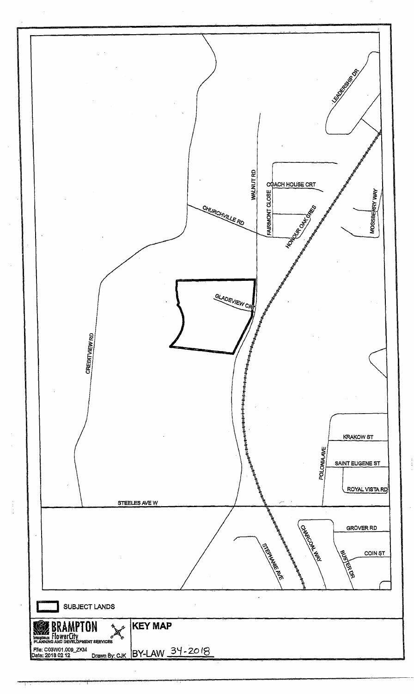